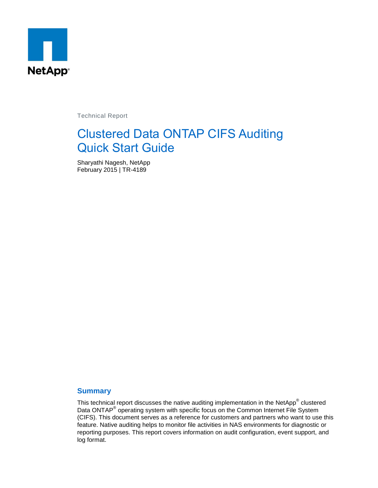

Technical Report

# Clustered Data ONTAP CIFS Auditing Quick Start Guide

Sharyathi Nagesh, NetApp February 2015 | TR-4189

### **Summary**

This technical report discusses the native auditing implementation in the NetApp® clustered Data ONTAP<sup>®</sup> operating system with specific focus on the Common Internet File System (CIFS). This document serves as a reference for customers and partners who want to use this feature. Native auditing helps to monitor file activities in NAS environments for diagnostic or reporting purposes. This report covers information on audit configuration, event support, and log format.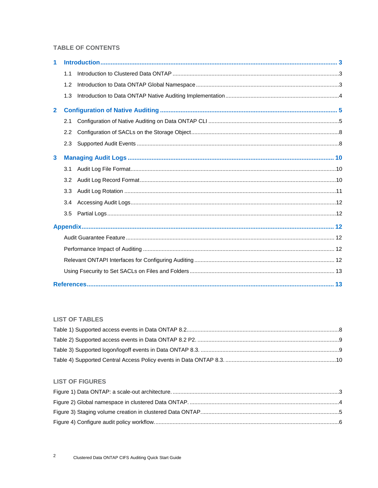### **TABLE OF CONTENTS**

| 1            |     |  |  |  |  |
|--------------|-----|--|--|--|--|
|              | 1.1 |  |  |  |  |
|              | 1.2 |  |  |  |  |
|              | 1.3 |  |  |  |  |
| $\mathbf{2}$ |     |  |  |  |  |
|              | 2.1 |  |  |  |  |
|              | 2.2 |  |  |  |  |
|              | 2.3 |  |  |  |  |
| 3            |     |  |  |  |  |
|              | 3.1 |  |  |  |  |
|              | 3.2 |  |  |  |  |
|              | 3.3 |  |  |  |  |
|              | 3.4 |  |  |  |  |
|              | 3.5 |  |  |  |  |
|              |     |  |  |  |  |
|              |     |  |  |  |  |
|              |     |  |  |  |  |
|              |     |  |  |  |  |
|              |     |  |  |  |  |
|              |     |  |  |  |  |

### **LIST OF TABLES**

### **LIST OF FIGURES**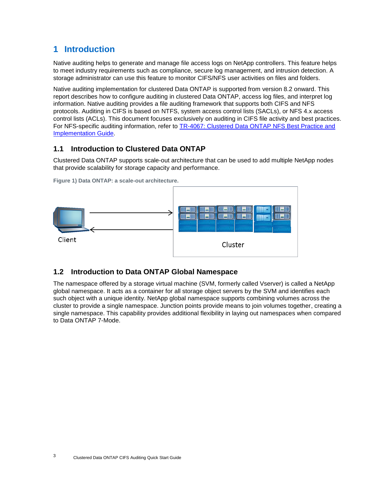# <span id="page-2-0"></span>**1 Introduction**

Native auditing helps to generate and manage file access logs on NetApp controllers. This feature helps to meet industry requirements such as compliance, secure log management, and intrusion detection. A storage administrator can use this feature to monitor CIFS/NFS user activities on files and folders.

Native auditing implementation for clustered Data ONTAP is supported from version 8.2 onward. This report describes how to configure auditing in clustered Data ONTAP, access log files, and interpret log information. Native auditing provides a file auditing framework that supports both CIFS and NFS protocols. Auditing in CIFS is based on NTFS, system access control lists (SACLs), or NFS 4.x access control lists (ACLs). This document focuses exclusively on auditing in CIFS file activity and best practices. For NFS-specific auditing information, refer to [TR-4067: Clustered Data ONTAP NFS Best Practice and](http://www.netapp.com/us/media/tr-4067.pdf)  [Implementation Guide.](http://www.netapp.com/us/media/tr-4067.pdf)

# <span id="page-2-1"></span>**1.1 Introduction to Clustered Data ONTAP**

Clustered Data ONTAP supports scale-out architecture that can be used to add multiple NetApp nodes that provide scalability for storage capacity and performance.



<span id="page-2-3"></span>**Figure 1) Data ONTAP: a scale-out architecture.**

# <span id="page-2-2"></span>**1.2 Introduction to Data ONTAP Global Namespace**

The namespace offered by a storage virtual machine (SVM, formerly called Vserver) is called a NetApp global namespace. It acts as a container for all storage object servers by the SVM and identifies each such object with a unique identity. NetApp global namespace supports combining volumes across the cluster to provide a single namespace. Junction points provide means to join volumes together, creating a single namespace. This capability provides additional flexibility in laying out namespaces when compared to Data ONTAP 7-Mode.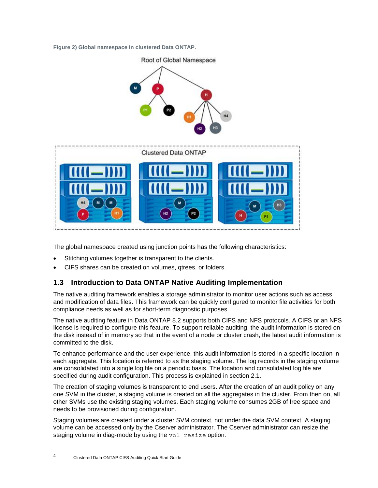<span id="page-3-1"></span>**Figure 2) Global namespace in clustered Data ONTAP.**



The global namespace created using junction points has the following characteristics:

- Stitching volumes together is transparent to the clients.
- CIFS shares can be created on volumes, qtrees, or folders.

# <span id="page-3-0"></span>**1.3 Introduction to Data ONTAP Native Auditing Implementation**

The native auditing framework enables a storage administrator to monitor user actions such as access and modification of data files. This framework can be quickly configured to monitor file activities for both compliance needs as well as for short-term diagnostic purposes.

The native auditing feature in Data ONTAP 8.2 supports both CIFS and NFS protocols. A CIFS or an NFS license is required to configure this feature. To support reliable auditing, the audit information is stored on the disk instead of in memory so that in the event of a node or cluster crash, the latest audit information is committed to the disk.

To enhance performance and the user experience, this audit information is stored in a specific location in each aggregate. This location is referred to as the staging volume. The log records in the staging volume are consolidated into a single log file on a periodic basis. The location and consolidated log file are specified during audit configuration. This process is explained in section [2.1.](#page-4-1)

The creation of staging volumes is transparent to end users. After the creation of an audit policy on any one SVM in the cluster, a staging volume is created on all the aggregates in the cluster. From then on, all other SVMs use the existing staging volumes. Each staging volume consumes 2GB of free space and needs to be provisioned during configuration.

Staging volumes are created under a cluster SVM context, not under the data SVM context. A staging volume can be accessed only by the Cserver administrator. The Cserver administrator can resize the staging volume in diag-mode by using the vol resize option.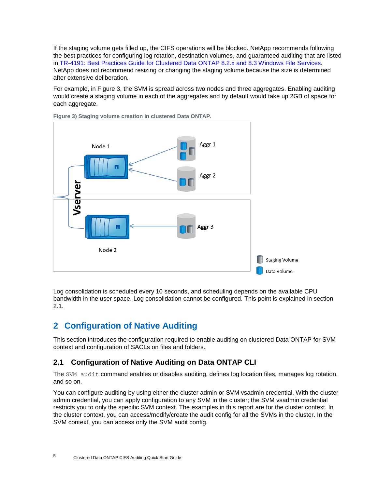If the staging volume gets filled up, the CIFS operations will be blocked. NetApp recommends following the best practices for configuring log rotation, destination volumes, and guaranteed auditing that are listed in [TR-4191: Best Practices Guide for Clustered Data ONTAP 8.2.x and 8.3 Windows File Services.](http://www.netapp.com/us/media/tr-4191.pdf) NetApp does not recommend resizing or changing the staging volume because the size is determined after extensive deliberation.

For example, in [Figure 3,](#page-4-2) the SVM is spread across two nodes and three aggregates. Enabling auditing would create a staging volume in each of the aggregates and by default would take up 2GB of space for each aggregate.



<span id="page-4-2"></span>**Figure 3) Staging volume creation in clustered Data ONTAP.**

Log consolidation is scheduled every 10 seconds, and scheduling depends on the available CPU bandwidth in the user space. Log consolidation cannot be configured. This point is explained in section [2.1.](#page-4-1)

# <span id="page-4-0"></span>**2 Configuration of Native Auditing**

This section introduces the configuration required to enable auditing on clustered Data ONTAP for SVM context and configuration of SACLs on files and folders.

# <span id="page-4-1"></span>**2.1 Configuration of Native Auditing on Data ONTAP CLI**

The SVM audit command enables or disables auditing, defines log location files, manages log rotation, and so on.

You can configure auditing by using either the cluster admin or SVM vsadmin credential. With the cluster admin credential, you can apply configuration to any SVM in the cluster; the SVM vsadmin credential restricts you to only the specific SVM context. The examples in this report are for the cluster context. In the cluster context, you can access/modify/create the audit config for all the SVMs in the cluster. In the SVM context, you can access only the SVM audit config.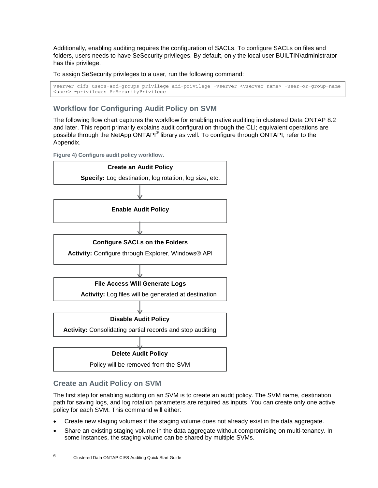Additionally, enabling auditing requires the configuration of SACLs. To configure SACLs on files and folders, users needs to have SeSecurity privileges. By default, only the local user BUILTIN\administrator has this privilege.

To assign SeSecurity privileges to a user, run the following command:

```
vserver cifs users-and-groups privilege add-privilege -vserver <vserver name> -user-or-group-name 
<user> -privileges SeSecurityPrivilege
```
# **Workflow for Configuring Audit Policy on SVM**

The following flow chart captures the workflow for enabling native auditing in clustered Data ONTAP 8.2 and later. This report primarily explains audit configuration through the CLI; equivalent operations are possible through the NetApp ONTAPI® library as well. To configure through ONTAPI, refer to the Appendix.

<span id="page-5-0"></span>**Figure 4) Configure audit policy workflow.**



### **Create an Audit Policy on SVM**

The first step for enabling auditing on an SVM is to create an audit policy. The SVM name, destination path for saving logs, and log rotation parameters are required as inputs. You can create only one active policy for each SVM. This command will either:

- Create new staging volumes if the staging volume does not already exist in the data aggregate.
- Share an existing staging volume in the data aggregate without compromising on multi-tenancy. In some instances, the staging volume can be shared by multiple SVMs.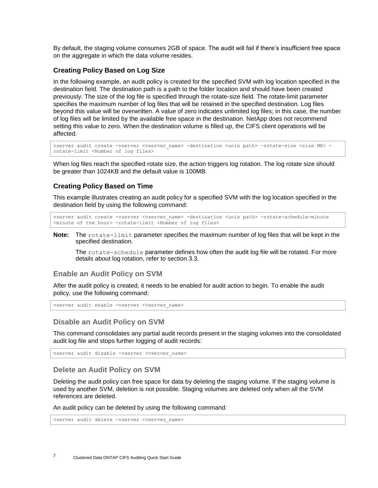By default, the staging volume consumes 2GB of space. The audit will fail if there's insufficient free space on the aggregate in which the data volume resides.

#### **Creating Policy Based on Log Size**

In the following example, an audit policy is created for the specified SVM with log location specified in the destination field. The destination path is a path to the folder location and should have been created previously. The size of the log file is specified through the rotate-size field. The rotate-limit parameter specifies the maximum number of log files that will be retained in the specified destination. Log files beyond this value will be overwritten. A value of zero indicates unlimited log files; in this case, the number of log files will be limited by the available free space in the destination. NetApp does not recommend setting this value to zero. When the destination volume is filled up, the CIFS client operations will be affected.

```
vserver audit create -vserver <vserver name> -destination <unix path> -rotate-size <size MB> -
rotate-limit <Number of log files>
```
When log files reach the specified rotate size, the action triggers log rotation. The log rotate size should be greater than 1024KB and the default value is 100MB.

#### **Creating Policy Based on Time**

This example illustrates creating an audit policy for a specified SVM with the log location specified in the destination field by using the following command:

```
vserver audit create -vserver <vserver name> -destination <unix path> -rotate-schedule-minute
<minute of the hour> -rotate-limit <Number of log files>
```
**Note:** The rotate-limit parameter specifies the maximum number of log files that will be kept in the specified destination.

The rotate-schedule parameter defines how often the audit log file will be rotated. For more details about log rotation, refer to section [3.3.](#page-10-0)

### **Enable an Audit Policy on SVM**

After the audit policy is created, it needs to be enabled for audit action to begin. To enable the audit policy, use the following command:

vserver audit enable -vserver <vserver name>

#### **Disable an Audit Policy on SVM**

This command consolidates any partial audit records present in the staging volumes into the consolidated audit log file and stops further logging of audit records:

vserver audit disable -vserver <vserver name>

### **Delete an Audit Policy on SVM**

Deleting the audit policy can free space for data by deleting the staging volume. If the staging volume is used by another SVM, deletion is not possible. Staging volumes are deleted only when all the SVM references are deleted.

An audit policy can be deleted by using the following command:

vserver audit delete -vserver <vserver name>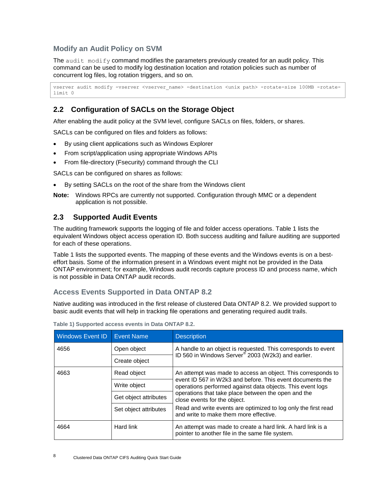# **Modify an Audit Policy on SVM**

The audit  $\text{modify}$  command modifies the parameters previously created for an audit policy. This command can be used to modify log destination location and rotation policies such as number of concurrent log files, log rotation triggers, and so on.

```
vserver audit modify -vserver <vserver name> -destination <unix path> -rotate-size 100MB -rotate-
limit 0
```
# <span id="page-7-0"></span>**2.2 Configuration of SACLs on the Storage Object**

After enabling the audit policy at the SVM level, configure SACLs on files, folders, or shares.

SACLs can be configured on files and folders as follows:

- By using client applications such as Windows Explorer
- From script/application using appropriate Windows APIs
- From file-directory (Fsecurity) command through the CLI

SACLs can be configured on shares as follows:

- By setting SACLs on the root of the share from the Windows client
- **Note:** Windows RPCs are currently not supported. Configuration through MMC or a dependent application is not possible.

# <span id="page-7-1"></span>**2.3 Supported Audit Events**

The auditing framework supports the logging of file and folder access operations. [Table 1](#page-7-2) lists the equivalent Windows object access operation ID. Both success auditing and failure auditing are supported for each of these operations.

[Table 1](#page-7-2) lists the supported events. The mapping of these events and the Windows events is on a besteffort basis. Some of the information present in a Windows event might not be provided in the Data ONTAP environment; for example, Windows audit records capture process ID and process name, which is not possible in Data ONTAP audit records.

# **Access Events Supported in Data ONTAP 8.2**

Native auditing was introduced in the first release of clustered Data ONTAP 8.2. We provided support to basic audit events that will help in tracking file operations and generating required audit trails.

| <b>Windows Event ID</b> | <b>Event Name</b>     | <b>Description</b>                                                                                                                                                                                                                                                             |
|-------------------------|-----------------------|--------------------------------------------------------------------------------------------------------------------------------------------------------------------------------------------------------------------------------------------------------------------------------|
| 4656                    | Open object           | A handle to an object is requested. This corresponds to event<br>ID 560 in Windows Server <sup>®</sup> 2003 (W2k3) and earlier.                                                                                                                                                |
|                         | Create object         |                                                                                                                                                                                                                                                                                |
| 4663                    | Read object           | An attempt was made to access an object. This corresponds to<br>event ID 567 in W2k3 and before. This event documents the<br>operations performed against data objects. This event logs<br>operations that take place between the open and the<br>close events for the object. |
|                         | Write object          |                                                                                                                                                                                                                                                                                |
|                         | Get object attributes |                                                                                                                                                                                                                                                                                |
|                         | Set object attributes | Read and write events are optimized to log only the first read<br>and write to make them more effective.                                                                                                                                                                       |
| 4664                    | Hard link             | An attempt was made to create a hard link. A hard link is a<br>pointer to another file in the same file system.                                                                                                                                                                |

<span id="page-7-2"></span>**Table 1) Supported access events in Data ONTAP 8.2.**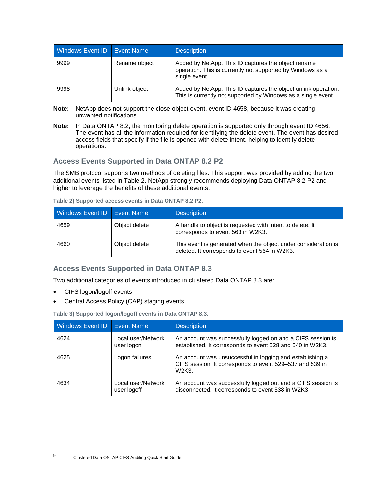| Windows Event ID   Event Name |               | <b>Description</b>                                                                                                                 |
|-------------------------------|---------------|------------------------------------------------------------------------------------------------------------------------------------|
| 9999                          | Rename object | Added by NetApp. This ID captures the object rename<br>operation. This is currently not supported by Windows as a<br>single event. |
| 9998                          | Unlink object | Added by NetApp. This ID captures the object unlink operation.<br>This is currently not supported by Windows as a single event.    |

- **Note:** NetApp does not support the close object event, event ID 4658, because it was creating unwanted notifications.
- **Note:** In Data ONTAP 8.2, the monitoring delete operation is supported only through event ID 4656. The event has all the information required for identifying the delete event. The event has desired access fields that specify if the file is opened with delete intent, helping to identify delete operations.

### **Access Events Supported in Data ONTAP 8.2 P2**

The SMB protocol supports two methods of deleting files. This support was provided by adding the two additional events listed in [Table 2.](#page-8-0) NetApp strongly recommends deploying Data ONTAP 8.2 P2 and higher to leverage the benefits of these additional events.

<span id="page-8-0"></span>

| Table 2) Supported access events in Data ONTAP 8.2 P2. |  |
|--------------------------------------------------------|--|
|                                                        |  |

| <b>Windows Event ID</b> Event Name |               | <b>Description</b>                                                                                              |
|------------------------------------|---------------|-----------------------------------------------------------------------------------------------------------------|
| 4659                               | Object delete | A handle to object is requested with intent to delete. It<br>corresponds to event 563 in W2K3.                  |
| 4660                               | Object delete | This event is generated when the object under consideration is<br>deleted. It corresponds to event 564 in W2K3. |

### **Access Events Supported in Data ONTAP 8.3**

Two additional categories of events introduced in clustered Data ONTAP 8.3 are:

- CIFS logon/logoff events
- Central Access Policy (CAP) staging events

<span id="page-8-1"></span>**Table 3) Supported logon/logoff events in Data ONTAP 8.3.**

| Windows Event ID   Event Name |                                   | <b>Description</b>                                                                                                             |
|-------------------------------|-----------------------------------|--------------------------------------------------------------------------------------------------------------------------------|
| 4624                          | Local user/Network<br>user logon  | An account was successfully logged on and a CIFS session is<br>established. It corresponds to event 528 and 540 in W2K3.       |
| 4625                          | Logon failures                    | An account was unsuccessful in logging and establishing a<br>CIFS session. It corresponds to event 529-537 and 539 in<br>W2K3. |
| 4634                          | Local user/Network<br>user logoff | An account was successfully logged out and a CIFS session is<br>disconnected. It corresponds to event 538 in W2K3.             |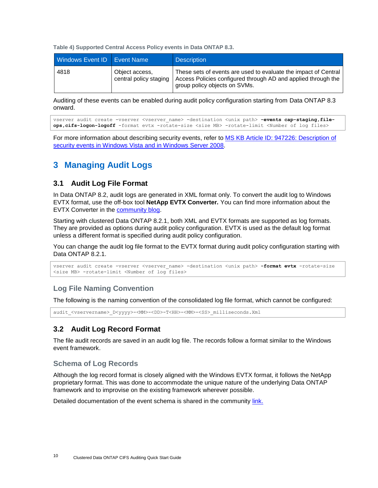<span id="page-9-3"></span>**Table 4) Supported Central Access Policy events in Data ONTAP 8.3.**

| Windows Event ID   Event Name |                                          | <b>Description</b>                                                                                                                                                |
|-------------------------------|------------------------------------------|-------------------------------------------------------------------------------------------------------------------------------------------------------------------|
| 4818                          | Object access,<br>central policy staging | These sets of events are used to evaluate the impact of Central<br>Access Policies configured through AD and applied through the<br>group policy objects on SVMs. |

Auditing of these events can be enabled during audit policy configuration starting from Data ONTAP 8.3 onward.

```
vserver audit create -vserver <vserver name> -destination <unix path> -events cap-staging,file-
ops,cifs-logon-logoff -format evtx -rotate-size <size MB> -rotate-limit <Number of log files>
```
For more information about describing security events, refer to [MS KB Article ID: 947226: Description of](http://support.microsoft.com/kb/947226)  [security events in Windows Vista and in Windows Server 2008.](http://support.microsoft.com/kb/947226)

# <span id="page-9-0"></span>**3 Managing Audit Logs**

### <span id="page-9-1"></span>**3.1 Audit Log File Format**

In Data ONTAP 8.2, audit logs are generated in XML format only. To convert the audit log to Windows EVTX format, use the off-box tool **NetApp EVTX Converter***.* You can find more information about the EVTX Converter in the [community blog.](http://community.netapp.com/t5/Network-Storage-Protocols-Articles-and-Resources/Tool-to-convert-Audit-Logs-from-XML-to-EVTX-Format/ta-p/84735) 

Starting with clustered Data ONTAP 8.2.1, both XML and EVTX formats are supported as log formats. They are provided as options during audit policy configuration. EVTX is used as the default log format unless a different format is specified during audit policy configuration.

You can change the audit log file format to the EVTX format during audit policy configuration starting with Data ONTAP 8.2.1.

```
vserver audit create -vserver <vserver name> -destination <unix path> -format evtx -rotate-size
<size MB> -rotate-limit <Number of log files>
```
### **Log File Naming Convention**

The following is the naming convention of the consolidated log file format, which cannot be configured:

audit <vservername> D<yyyy>-<MM>-<DD>-T<HH>-<MM>-<SS> milliseconds.Xml

# <span id="page-9-2"></span>**3.2 Audit Log Record Format**

The file audit records are saved in an audit log file. The records follow a format similar to the Windows event framework.

### **Schema of Log Records**

Although the log record format is closely aligned with the Windows EVTX format, it follows the NetApp proprietary format. This was done to accommodate the unique nature of the underlying Data ONTAP framework and to improvise on the existing framework wherever possible.

Detailed documentation of the event schema is shared in the community [link.](http://community.netapp.com/t5/Network-Storage-Protocols-Articles-and-Resources/Native-Auditin-Event-Schema-for-ONTAP-8-2-1/ta-p/84993)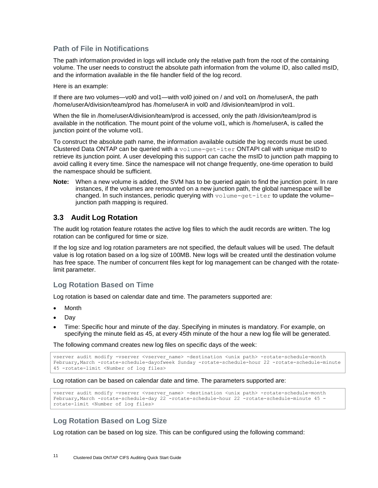### **Path of File in Notifications**

The path information provided in logs will include only the relative path from the root of the containing volume. The user needs to construct the absolute path information from the volume ID, also called msID, and the information available in the file handler field of the log record.

Here is an example:

If there are two volumes—vol0 and vol1—with vol0 joined on / and vol1 on /home/userA, the path /home/userA/division/team/prod has /home/userA in vol0 and /division/team/prod in vol1.

When the file in /home/userA/division/team/prod is accessed, only the path /division/team/prod is available in the notification. The mount point of the volume vol1, which is /home/userA, is called the junction point of the volume vol1.

To construct the absolute path name, the information available outside the log records must be used. Clustered Data ONTAP can be queried with a volume-get-iter ONTAPI call with unique msID to retrieve its junction point. A user developing this support can cache the msID to junction path mapping to avoid calling it every time. Since the namespace will not change frequently, one-time operation to build the namespace should be sufficient.

**Note:** When a new volume is added, the SVM has to be queried again to find the junction point. In rare instances, if the volumes are remounted on a new junction path, the global namespace will be changed. In such instances, periodic querying with  $volume - qet - iter$  to update the volumejunction path mapping is required.

### <span id="page-10-0"></span>**3.3 Audit Log Rotation**

The audit log rotation feature rotates the active log files to which the audit records are written. The log rotation can be configured for time or size.

If the log size and log rotation parameters are not specified, the default values will be used. The default value is log rotation based on a log size of 100MB. New logs will be created until the destination volume has free space. The number of concurrent files kept for log management can be changed with the rotatelimit parameter.

### **Log Rotation Based on Time**

Log rotation is based on calendar date and time. The parameters supported are:

- Month
- Day
- Time: Specific hour and minute of the day. Specifying in minutes is mandatory. For example, on specifying the minute field as 45, at every 45th minute of the hour a new log file will be generated.

The following command creates new log files on specific days of the week:

```
vserver audit modify -vserver <vserver name> -destination <unix path> -rotate-schedule-month
February,March -rotate-schedule-dayofweek Sunday -rotate-schedule-hour 22 -rotate-schedule-minute 
45 -rotate-limit <Number of log files>
```
Log rotation can be based on calendar date and time. The parameters supported are:

```
vserver audit modify -vserver <vserver name> -destination <unix path> -rotate-schedule-month
February,March -rotate-schedule-day 22 -rotate-schedule-hour 22 -rotate-schedule-minute 45 -
rotate-limit <Number of log files>
```
# **Log Rotation Based on Log Size**

Log rotation can be based on log size. This can be configured using the following command: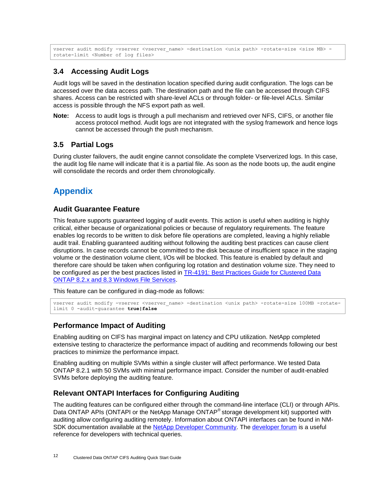```
vserver audit modify -vserver <vserver name> -destination <unix path> -rotate-size <size MB> -
rotate-limit <Number of log files>
```
# <span id="page-11-0"></span>**3.4 Accessing Audit Logs**

Audit logs will be saved in the destination location specified during audit configuration. The logs can be accessed over the data access path. The destination path and the file can be accessed through CIFS shares. Access can be restricted with share-level ACLs or through folder- or file-level ACLs. Similar access is possible through the NFS export path as well.

**Note:** Access to audit logs is through a pull mechanism and retrieved over NFS, CIFS, or another file access protocol method. Audit logs are not integrated with the syslog framework and hence logs cannot be accessed through the push mechanism.

# <span id="page-11-1"></span>**3.5 Partial Logs**

During cluster failovers, the audit engine cannot consolidate the complete Vserverized logs. In this case, the audit log file name will indicate that it is a partial file. As soon as the node boots up, the audit engine will consolidate the records and order them chronologically.

# <span id="page-11-2"></span>**Appendix**

### <span id="page-11-3"></span>**Audit Guarantee Feature**

This feature supports guaranteed logging of audit events. This action is useful when auditing is highly critical, either because of organizational policies or because of regulatory requirements. The feature enables log records to be written to disk before file operations are completed, leaving a highly reliable audit trail. Enabling guaranteed auditing without following the auditing best practices can cause client disruptions. In case records cannot be committed to the disk because of insufficient space in the staging volume or the destination volume client, I/Os will be blocked. This feature is enabled by default and therefore care should be taken when configuring log rotation and destination volume size. They need to be configured as per the best practices listed in [TR-4191: Best Practices Guide for Clustered Data](http://www.netapp.com/us/media/tr-4191.pdf)  [ONTAP 8.2.x and 8.3 Windows File Services.](http://www.netapp.com/us/media/tr-4191.pdf)

This feature can be configured in diag-mode as follows:

```
vserver audit modify -vserver <vserver name> -destination <unix path> -rotate-size 100MB -rotate-
limit 0 -audit-guarantee true|false
```
# <span id="page-11-4"></span>**Performance Impact of Auditing**

Enabling auditing on CIFS has marginal impact on latency and CPU utilization. NetApp completed extensive testing to characterize the performance impact of auditing and recommends following our best practices to minimize the performance impact.

Enabling auditing on multiple SVMs within a single cluster will affect performance. We tested Data ONTAP 8.2.1 with 50 SVMs with minimal performance impact. Consider the number of audit-enabled SVMs before deploying the auditing feature.

# <span id="page-11-5"></span>**Relevant ONTAPI Interfaces for Configuring Auditing**

The auditing features can be configured either through the command-line interface (CLI) or through APIs. Data ONTAP APIs (ONTAPI or the NetApp Manage ONTAP® storage development kit) supported with auditing allow configuring auditing remotely. Information about ONTAPI interfaces can be found in NM-SDK documentation available at the [NetApp Developer Community.](http://community.netapp.com/t5/Developer-Network/ct-p/developer-network) The [developer forum](http://community.netapp.com/t5/Software-Development-Kit-SDK-and-API-Discussions/bd-p/sdk-and-api-discussions) is a useful reference for developers with technical queries.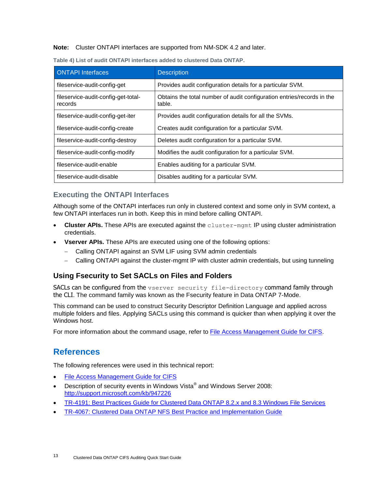**Note:** Cluster ONTAPI interfaces are supported from NM-SDK 4.2 and later.

| <b>ONTAPI</b> Interfaces                       | <b>Description</b>                                                               |
|------------------------------------------------|----------------------------------------------------------------------------------|
| fileservice-audit-config-get                   | Provides audit configuration details for a particular SVM.                       |
| fileservice-audit-config-get-total-<br>records | Obtains the total number of audit configuration entries/records in the<br>table. |
| fileservice-audit-config-get-iter              | Provides audit configuration details for all the SVMs.                           |
| fileservice-audit-config-create                | Creates audit configuration for a particular SVM.                                |
| fileservice-audit-config-destroy               | Deletes audit configuration for a particular SVM.                                |
| fileservice-audit-config-modify                | Modifies the audit configuration for a particular SVM.                           |
| fileservice-audit-enable                       | Enables auditing for a particular SVM.                                           |
| fileservice-audit-disable                      | Disables auditing for a particular SVM.                                          |

**Table 4) List of audit ONTAPI interfaces added to clustered Data ONTAP.**

# **Executing the ONTAPI Interfaces**

Although some of the ONTAPI interfaces run only in clustered context and some only in SVM context, a few ONTAPI interfaces run in both. Keep this in mind before calling ONTAPI.

- **Cluster APIs.** These APIs are executed against the cluster-mgmt IP using cluster administration credentials.
- **Vserver APIs.** These APIs are executed using one of the following options:
	- Calling ONTAPI against an SVM LIF using SVM admin credentials
	- Calling ONTAPI against the cluster-mgmt IP with cluster admin credentials, but using tunneling

# <span id="page-12-0"></span>**Using Fsecurity to Set SACLs on Files and Folders**

SACLs can be configured from the vserver security file-directory command family through the CLI. The command family was known as the Fsecurity feature in Data ONTAP 7-Mode.

This command can be used to construct Security Descriptor Definition Language and applied across multiple folders and files. Applying SACLs using this command is quicker than when applying it over the Windows host.

For more information about the command usage, refer to [File Access Management Guide for CIFS.](https://library.netapp.com/ecm/ecm_download_file/ECMP1610207)

# <span id="page-12-1"></span>**References**

The following references were used in this technical report:

- [File Access Management Guide for CIFS](https://library.netapp.com/ecm/ecm_download_file/ECMP1610207)
- Description of security events in Windows Vista® and Windows Server 2008: <http://support.microsoft.com/kb/947226>
- [TR-4191: Best Practices Guide for Clustered Data ONTAP 8.2.x and 8.3 Windows File Services](http://www.netapp.com/us/media/tr-4191.pdf)
- [TR-4067: Clustered Data ONTAP NFS Best Practice and Implementation Guide](http://www.netapp.com/us/media/tr-4067.pdf)